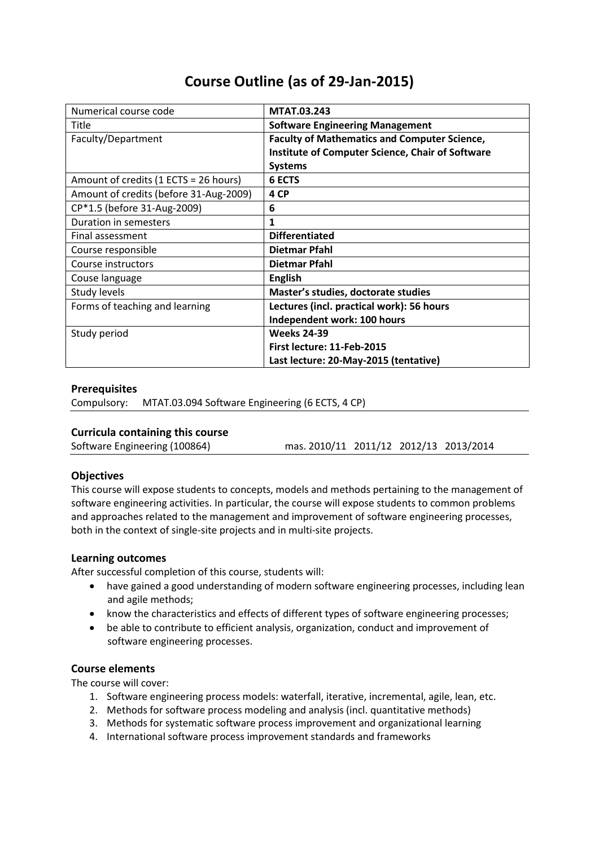# **Course Outline (as of 29-Jan-2015)**

| Numerical course code                  | <b>MTAT.03.243</b>                                      |
|----------------------------------------|---------------------------------------------------------|
| Title                                  | <b>Software Engineering Management</b>                  |
| Faculty/Department                     | <b>Faculty of Mathematics and Computer Science,</b>     |
|                                        | <b>Institute of Computer Science, Chair of Software</b> |
|                                        | <b>Systems</b>                                          |
| Amount of credits (1 ECTS = 26 hours)  | <b>6 ECTS</b>                                           |
| Amount of credits (before 31-Aug-2009) | 4 CP                                                    |
| CP*1.5 (before 31-Aug-2009)            | 6                                                       |
| Duration in semesters                  | 1                                                       |
| Final assessment                       | <b>Differentiated</b>                                   |
| Course responsible                     | Dietmar Pfahl                                           |
| Course instructors                     | <b>Dietmar Pfahl</b>                                    |
| Couse language                         | <b>English</b>                                          |
| Study levels                           | Master's studies, doctorate studies                     |
| Forms of teaching and learning         | Lectures (incl. practical work): 56 hours               |
|                                        | Independent work: 100 hours                             |
| Study period                           | <b>Weeks 24-39</b>                                      |
|                                        | First lecture: 11-Feb-2015                              |
|                                        | Last lecture: 20-May-2015 (tentative)                   |

## **Prerequisites**

Compulsory: MTAT.03.094 Software Engineering (6 ECTS, 4 CP)

## **Curricula containing this course**

Software Engineering (100864) mas. 2010/11 2011/12 2012/13 2013/2014

## **Objectives**

This course will expose students to concepts, models and methods pertaining to the management of software engineering activities. In particular, the course will expose students to common problems and approaches related to the management and improvement of software engineering processes, both in the context of single-site projects and in multi-site projects.

#### **Learning outcomes**

After successful completion of this course, students will:

- have gained a good understanding of modern software engineering processes, including lean and agile methods;
- know the characteristics and effects of different types of software engineering processes;
- be able to contribute to efficient analysis, organization, conduct and improvement of software engineering processes.

#### **Course elements**

The course will cover:

- 1. Software engineering process models: waterfall, iterative, incremental, agile, lean, etc.
- 2. Methods for software process modeling and analysis (incl. quantitative methods)
- 3. Methods for systematic software process improvement and organizational learning
- 4. International software process improvement standards and frameworks